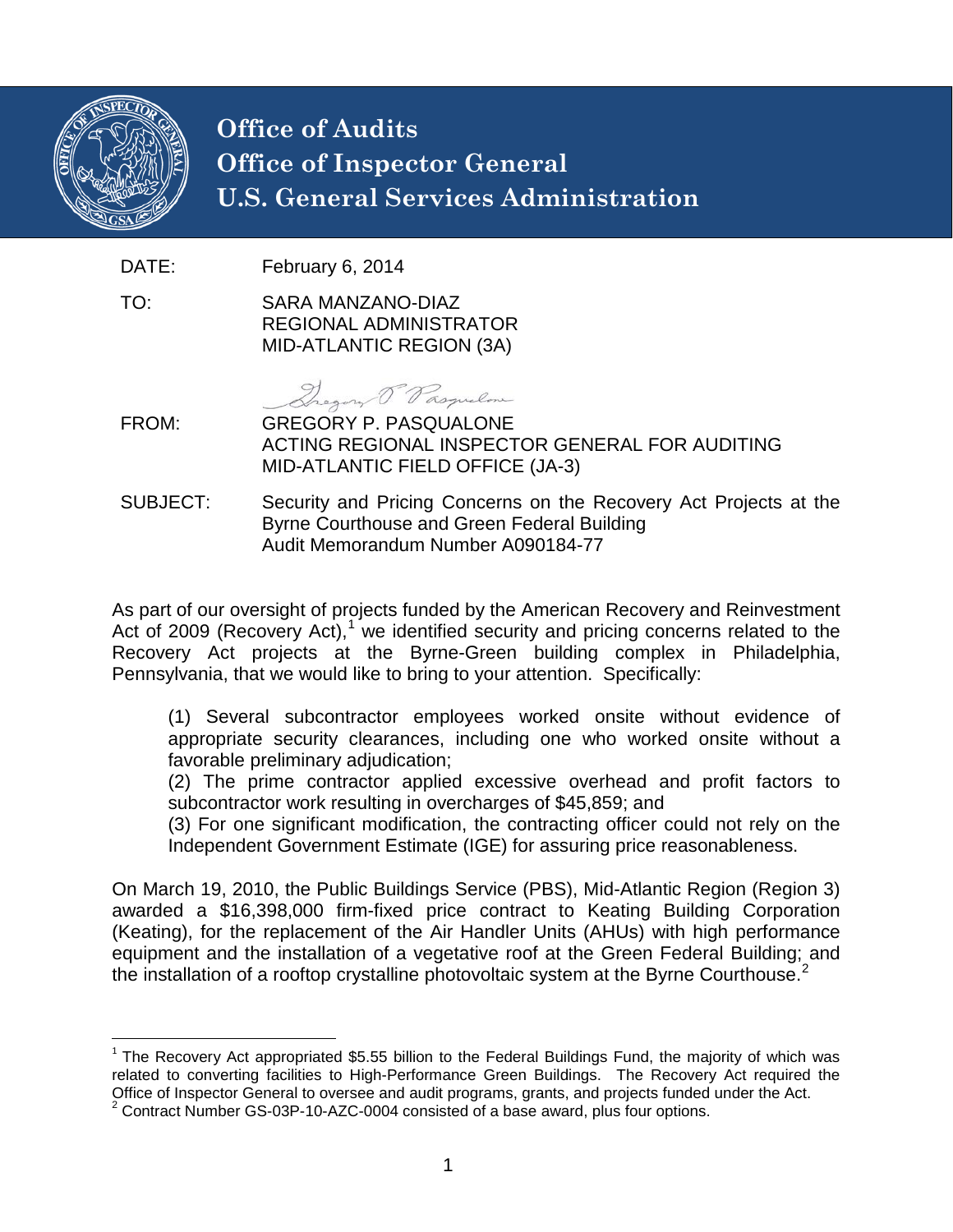

## **Office of Audits Office of Inspector General U.S. General Services Administration**

DATE: February 6, 2014

TO: SARA MANZANO-DIAZ REGIONAL ADMINISTRATOR MID-ATLANTIC REGION (3A)

Dregory Pasquelone

- FROM: GREGORY P. PASQUALONE ACTING REGIONAL INSPECTOR GENERAL FOR AUDITING MID-ATLANTIC FIELD OFFICE (JA-3)
- SUBJECT: Security and Pricing Concerns on the Recovery Act Projects at the Byrne Courthouse and Green Federal Building Audit Memorandum Number A090184-77

As part of our oversight of projects funded by the American Recovery and Reinvestment Act of 2009 (Recovery Act),<sup>[1](#page-0-0)</sup> we identified security and pricing concerns related to the Recovery Act projects at the Byrne-Green building complex in Philadelphia, Pennsylvania, that we would like to bring to your attention. Specifically:

(1) Several subcontractor employees worked onsite without evidence of appropriate security clearances, including one who worked onsite without a favorable preliminary adjudication;

(2) The prime contractor applied excessive overhead and profit factors to subcontractor work resulting in overcharges of \$45,859; and

(3) For one significant modification, the contracting officer could not rely on the Independent Government Estimate (IGE) for assuring price reasonableness.

On March 19, 2010, the Public Buildings Service (PBS), Mid-Atlantic Region (Region 3) awarded a \$16,398,000 firm-fixed price contract to Keating Building Corporation (Keating), for the replacement of the Air Handler Units (AHUs) with high performance equipment and the installation of a vegetative roof at the Green Federal Building; and the installation of a rooftop crystalline photovoltaic system at the Byrne Courthouse. $2$ 

<span id="page-0-0"></span> $1$  The Recovery Act appropriated \$5.55 billion to the Federal Buildings Fund, the majority of which was related to converting facilities to High-Performance Green Buildings. The Recovery Act required the related to converting facilities to High-Performance Green Buildings. The Recovery Act required the Office of Inspector General to oversee and audit programs, grants, and projects funded under the Act.

<span id="page-0-1"></span><sup>2</sup> Contract Number GS-03P-10-AZC-0004 consisted of a base award, plus four options.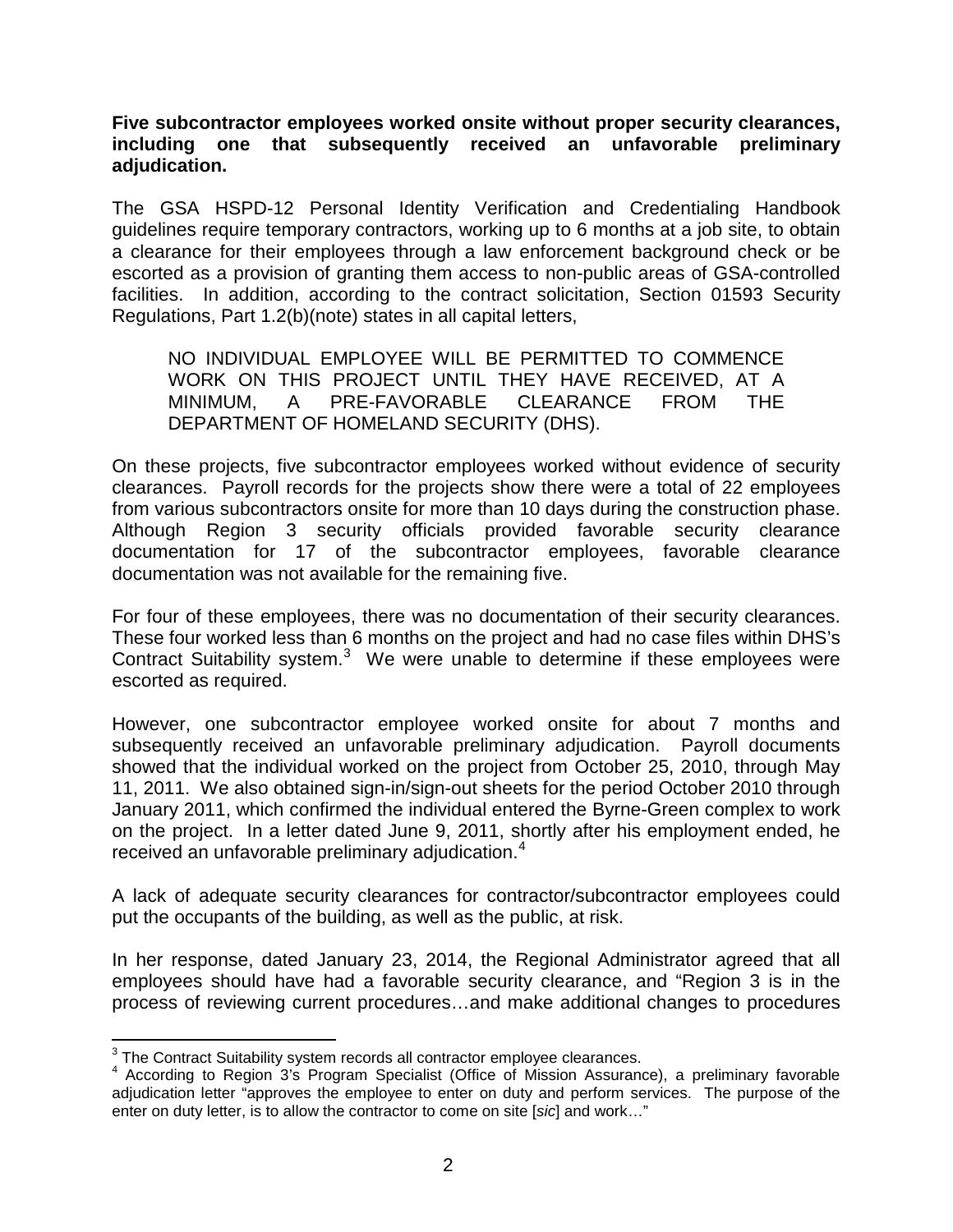**Five subcontractor employees worked onsite without proper security clearances, including one that subsequently received an unfavorable preliminary adjudication.**

The GSA HSPD-12 Personal Identity Verification and Credentialing Handbook guidelines require temporary contractors, working up to 6 months at a job site, to obtain a clearance for their employees through a law enforcement background check or be escorted as a provision of granting them access to non-public areas of GSA-controlled facilities. In addition, according to the contract solicitation, Section 01593 Security Regulations, Part 1.2(b)(note) states in all capital letters,

NO INDIVIDUAL EMPLOYEE WILL BE PERMITTED TO COMMENCE WORK ON THIS PROJECT UNTIL THEY HAVE RECEIVED, AT A MINIMUM, A PRE-FAVORABLE CLEARANCE FROM THE DEPARTMENT OF HOMELAND SECURITY (DHS).

On these projects, five subcontractor employees worked without evidence of security clearances. Payroll records for the projects show there were a total of 22 employees from various subcontractors onsite for more than 10 days during the construction phase. Although Region 3 security officials provided favorable security clearance documentation for 17 of the subcontractor employees, favorable clearance documentation was not available for the remaining five.

For four of these employees, there was no documentation of their security clearances. These four worked less than 6 months on the project and had no case files within DHS's Contract Suitability system. $3$  We were unable to determine if these employees were escorted as required.

However, one subcontractor employee worked onsite for about 7 months and subsequently received an unfavorable preliminary adjudication. Payroll documents showed that the individual worked on the project from October 25, 2010, through May 11, 2011. We also obtained sign-in/sign-out sheets for the period October 2010 through January 2011, which confirmed the individual entered the Byrne-Green complex to work on the project. In a letter dated June 9, 2011, shortly after his employment ended, he received an unfavorable preliminary adjudication.<sup>[4](#page-1-1)</sup>

A lack of adequate security clearances for contractor/subcontractor employees could put the occupants of the building, as well as the public, at risk.

In her response, dated January 23, 2014, the Regional Administrator agreed that all employees should have had a favorable security clearance, and "Region 3 is in the process of reviewing current procedures…and make additional changes to procedures

<span id="page-1-1"></span><span id="page-1-0"></span><sup>&</sup>lt;sup>3</sup> The Contract Suitability system records all contractor employee clearances.<br><sup>4</sup> According to Region 3's Program Specialist (Office of Mission Assurance), a preliminary favorable adjudication letter "approves the employee to enter on duty and perform services. The purpose of the enter on duty letter, is to allow the contractor to come on site [*sic*] and work…"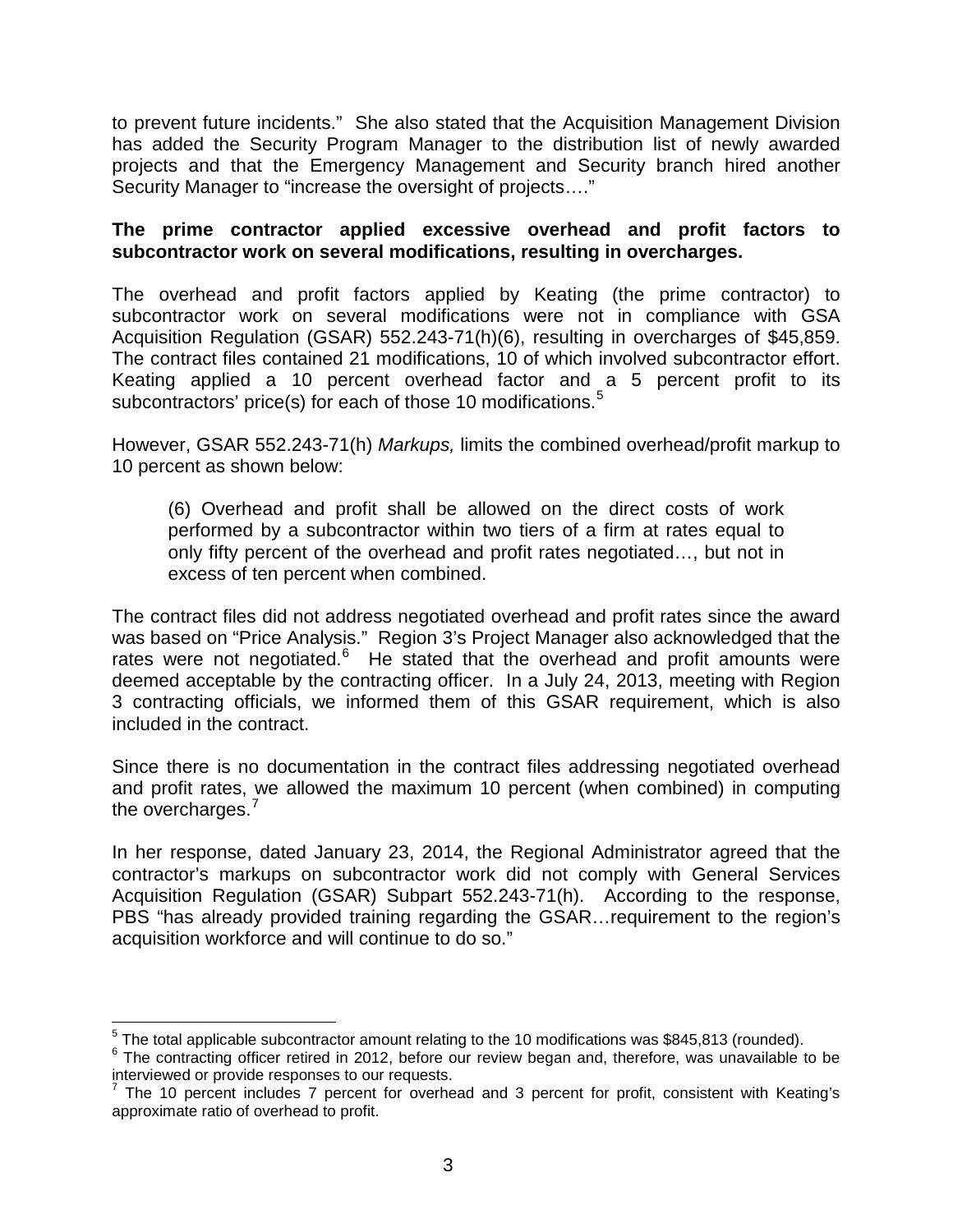to prevent future incidents." She also stated that the Acquisition Management Division has added the Security Program Manager to the distribution list of newly awarded projects and that the Emergency Management and Security branch hired another Security Manager to "increase the oversight of projects…."

## **The prime contractor applied excessive overhead and profit factors to subcontractor work on several modifications, resulting in overcharges.**

The overhead and profit factors applied by Keating (the prime contractor) to subcontractor work on several modifications were not in compliance with GSA Acquisition Regulation (GSAR) 552.243-71(h)(6), resulting in overcharges of \$45,859. The contract files contained 21 modifications, 10 of which involved subcontractor effort. Keating applied a 10 percent overhead factor and a 5 percent profit to its subcontractors' price(s) for each of those 10 modifications.<sup>[5](#page-2-0)</sup>

However, GSAR 552.243-71(h) *Markups,* limits the combined overhead/profit markup to 10 percent as shown below:

(6) Overhead and profit shall be allowed on the direct costs of work performed by a subcontractor within two tiers of a firm at rates equal to only fifty percent of the overhead and profit rates negotiated…, but not in excess of ten percent when combined.

The contract files did not address negotiated overhead and profit rates since the award was based on "Price Analysis." Region 3's Project Manager also acknowledged that the rates were not negotiated.<sup>[6](#page-2-1)</sup> He stated that the overhead and profit amounts were deemed acceptable by the contracting officer. In a July 24, 2013, meeting with Region 3 contracting officials, we informed them of this GSAR requirement, which is also included in the contract.

Since there is no documentation in the contract files addressing negotiated overhead and profit rates, we allowed the maximum 10 percent (when combined) in computing the overcharges.<sup>[7](#page-2-2)</sup>

In her response, dated January 23, 2014, the Regional Administrator agreed that the contractor's markups on subcontractor work did not comply with General Services Acquisition Regulation (GSAR) Subpart 552.243-71(h). According to the response, PBS "has already provided training regarding the GSAR…requirement to the region's acquisition workforce and will continue to do so."

<span id="page-2-1"></span><span id="page-2-0"></span><sup>&</sup>lt;sup>5</sup> The total applicable subcontractor amount relating to the 10 modifications was \$845,813 (rounded).<br><sup>6</sup> The contracting officer retired in 2012, before our review began and, therefore, was unavailable to be interviewed or provide responses to our requests.

<span id="page-2-2"></span> $7$  The 10 percent includes 7 percent for overhead and 3 percent for profit, consistent with Keating's approximate ratio of overhead to profit.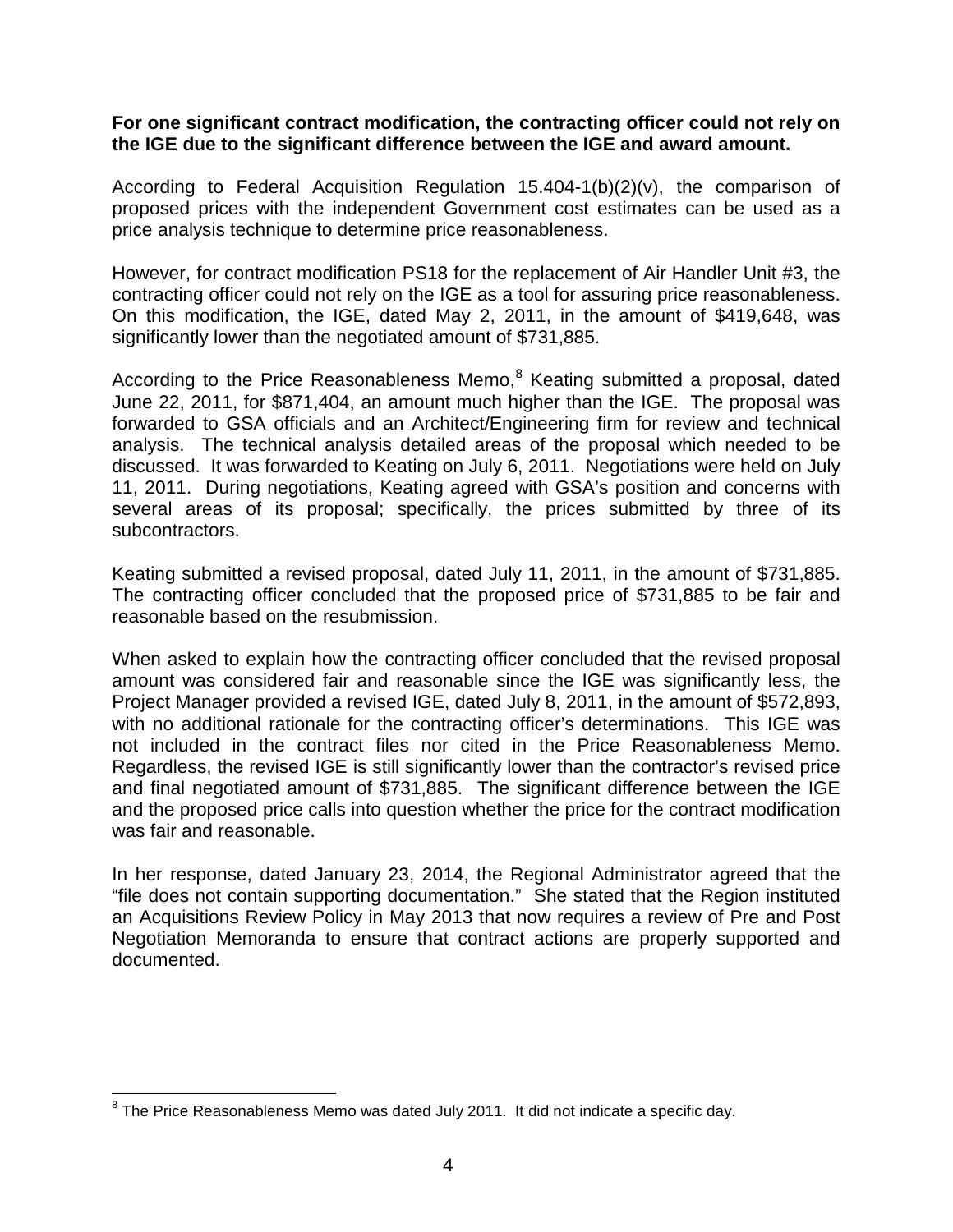## **For one significant contract modification, the contracting officer could not rely on the IGE due to the significant difference between the IGE and award amount.**

According to Federal Acquisition Regulation 15.404-1(b)(2)(v), the comparison of proposed prices with the independent Government cost estimates can be used as a price analysis technique to determine price reasonableness.

However, for contract modification PS18 for the replacement of Air Handler Unit #3, the contracting officer could not rely on the IGE as a tool for assuring price reasonableness. On this modification, the IGE, dated May 2, 2011, in the amount of \$419,648, was significantly lower than the negotiated amount of \$731,885.

According to the Price Reasonableness Memo,<sup>[8](#page-3-0)</sup> Keating submitted a proposal, dated June 22, 2011, for \$871,404, an amount much higher than the IGE. The proposal was forwarded to GSA officials and an Architect/Engineering firm for review and technical analysis. The technical analysis detailed areas of the proposal which needed to be discussed. It was forwarded to Keating on July 6, 2011. Negotiations were held on July 11, 2011. During negotiations, Keating agreed with GSA's position and concerns with several areas of its proposal; specifically, the prices submitted by three of its subcontractors.

Keating submitted a revised proposal, dated July 11, 2011, in the amount of \$731,885. The contracting officer concluded that the proposed price of \$731,885 to be fair and reasonable based on the resubmission.

When asked to explain how the contracting officer concluded that the revised proposal amount was considered fair and reasonable since the IGE was significantly less, the Project Manager provided a revised IGE, dated July 8, 2011, in the amount of \$572,893, with no additional rationale for the contracting officer's determinations. This IGE was not included in the contract files nor cited in the Price Reasonableness Memo. Regardless, the revised IGE is still significantly lower than the contractor's revised price and final negotiated amount of \$731,885. The significant difference between the IGE and the proposed price calls into question whether the price for the contract modification was fair and reasonable.

In her response, dated January 23, 2014, the Regional Administrator agreed that the "file does not contain supporting documentation." She stated that the Region instituted an Acquisitions Review Policy in May 2013 that now requires a review of Pre and Post Negotiation Memoranda to ensure that contract actions are properly supported and documented.

<span id="page-3-0"></span> $8$  The Price Reasonableness Memo was dated July 2011. It did not indicate a specific day.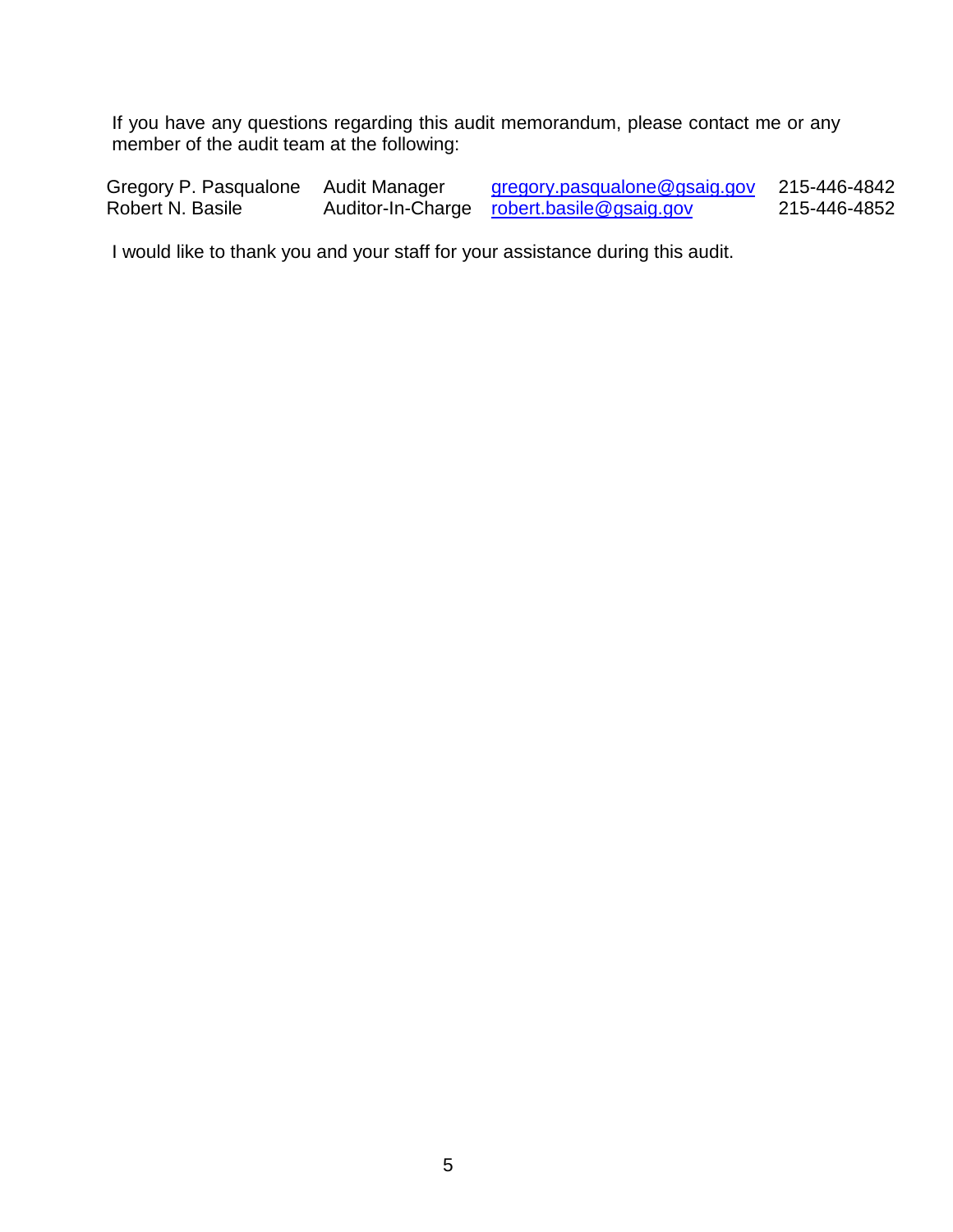If you have any questions regarding this audit memorandum, please contact me or any member of the audit team at the following:

Gregory P. Pasqualone Audit Manager [gregory.pasqualone@gsaig.gov](mailto:gregory.pasqualone@gsaig.gov) 215-446-4842<br>Robert N. Basile Auditor-In-Charge robert.basile@gsaig.gov 215-446-4852 Auditor-In-Charge [robert.basile@gsaig.gov](mailto:robert.basile@gsaig.gov)

I would like to thank you and your staff for your assistance during this audit.